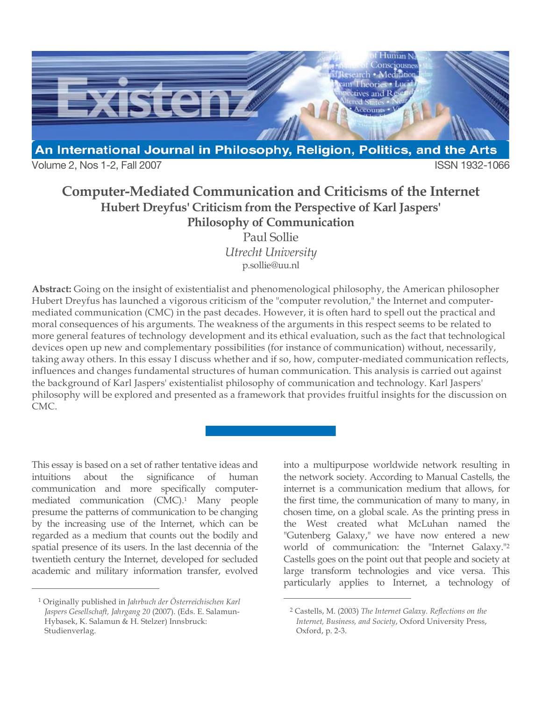

Volume 2, Nos 1-2, Fall 2007 **ISSN 1932-1066** 

# **Computer-Mediated Communication and Criticisms of the Internet Hubert Dreyfus' Criticism from the Perspective of Karl Jaspers' Philosophy of Communication**

Paul Sollie *Utrecht University* p.sollie@uu.nl

**Abstract:** Going on the insight of existentialist and phenomenological philosophy, the American philosopher Hubert Dreyfus has launched a vigorous criticism of the "computer revolution," the Internet and computermediated communication (CMC) in the past decades. However, it is often hard to spell out the practical and moral consequences of his arguments. The weakness of the arguments in this respect seems to be related to more general features of technology development and its ethical evaluation, such as the fact that technological devices open up new and complementary possibilities (for instance of communication) without, necessarily, taking away others. In this essay I discuss whether and if so, how, computer-mediated communication reflects, influences and changes fundamental structures of human communication. This analysis is carried out against the background of Karl Jaspers' existentialist philosophy of communication and technology. Karl Jaspers' philosophy will be explored and presented as a framework that provides fruitful insights for the discussion on CMC.

 $\overline{a}$ 

This essay is based on a set of rather tentative ideas and intuitions about the significance of human communication and more specifically computermediated communication (CMC).1 Many people presume the patterns of communication to be changing by the increasing use of the Internet, which can be regarded as a medium that counts out the bodily and spatial presence of its users. In the last decennia of the twentieth century the Internet, developed for secluded academic and military information transfer, evolved

 $\overline{a}$ 

into a multipurpose worldwide network resulting in the network society. According to Manual Castells, the internet is a communication medium that allows, for the first time, the communication of many to many, in chosen time, on a global scale. As the printing press in the West created what McLuhan named the "Gutenberg Galaxy," we have now entered a new world of communication: the "Internet Galaxy."2 Castells goes on the point out that people and society at large transform technologies and vice versa. This particularly applies to Internet, a technology of

<sup>1</sup> Originally published in *Jahrbuch der Österreichischen Karl Jaspers Gesellschaft, Jahrgang 20* (2007). (Eds. E. Salamun-Hybasek, K. Salamun & H. Stelzer) Innsbruck: Studienverlag.

<sup>2</sup> Castells, M. (2003) *The Internet Galaxy. Reflections on the Internet, Business, and Society*, Oxford University Press, Oxford, p. 2-3.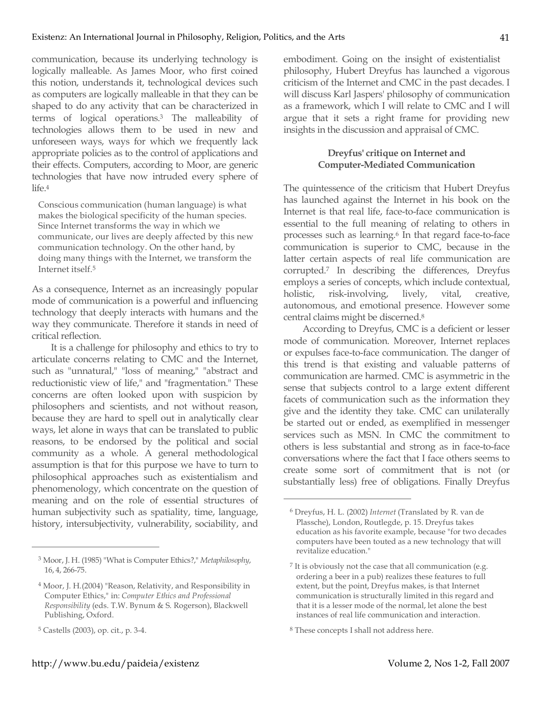communication, because its underlying technology is logically malleable. As James Moor, who first coined this notion, understands it, technological devices such as computers are logically malleable in that they can be shaped to do any activity that can be characterized in terms of logical operations.3 The malleability of technologies allows them to be used in new and unforeseen ways, ways for which we frequently lack appropriate policies as to the control of applications and their effects. Computers, according to Moor, are generic technologies that have now intruded every sphere of  $l$ ife<sup>4</sup>

Conscious communication (human language) is what makes the biological specificity of the human species. Since Internet transforms the way in which we communicate, our lives are deeply affected by this new communication technology. On the other hand, by doing many things with the Internet, we transform the Internet itself.5

As a consequence, Internet as an increasingly popular mode of communication is a powerful and influencing technology that deeply interacts with humans and the way they communicate. Therefore it stands in need of critical reflection.

It is a challenge for philosophy and ethics to try to articulate concerns relating to CMC and the Internet, such as "unnatural," "loss of meaning," "abstract and reductionistic view of life," and "fragmentation." These concerns are often looked upon with suspicion by philosophers and scientists, and not without reason, because they are hard to spell out in analytically clear ways, let alone in ways that can be translated to public reasons, to be endorsed by the political and social community as a whole. A general methodological assumption is that for this purpose we have to turn to philosophical approaches such as existentialism and phenomenology, which concentrate on the question of meaning and on the role of essential structures of human subjectivity such as spatiality, time, language, history, intersubjectivity, vulnerability, sociability, and

 $\overline{a}$ 

embodiment. Going on the insight of existentialist philosophy, Hubert Dreyfus has launched a vigorous criticism of the Internet and CMC in the past decades. I will discuss Karl Jaspers' philosophy of communication as a framework, which I will relate to CMC and I will argue that it sets a right frame for providing new insights in the discussion and appraisal of CMC.

### **Dreyfus' critique on Internet and Computer-Mediated Communication**

The quintessence of the criticism that Hubert Dreyfus has launched against the Internet in his book on the Internet is that real life, face-to-face communication is essential to the full meaning of relating to others in processes such as learning.6 In that regard face-to-face communication is superior to CMC, because in the latter certain aspects of real life communication are corrupted.7 In describing the differences, Dreyfus employs a series of concepts, which include contextual, holistic, risk-involving, lively, vital, creative, autonomous, and emotional presence. However some central claims might be discerned.8

According to Dreyfus, CMC is a deficient or lesser mode of communication. Moreover, Internet replaces or expulses face-to-face communication. The danger of this trend is that existing and valuable patterns of communication are harmed. CMC is asymmetric in the sense that subjects control to a large extent different facets of communication such as the information they give and the identity they take. CMC can unilaterally be started out or ended, as exemplified in messenger services such as MSN. In CMC the commitment to others is less substantial and strong as in face-to-face conversations where the fact that I face others seems to create some sort of commitment that is not (or substantially less) free of obligations. Finally Dreyfus

<sup>3</sup> Moor, J. H. (1985) "What is Computer Ethics?," *Metaphilosophy*, 16, 4, 266-75.

<sup>4</sup> Moor, J. H.(2004) "Reason, Relativity, and Responsibility in Computer Ethics," in: *Computer Ethics and Professional Responsibility* (eds. T.W. Bynum & S. Rogerson), Blackwell Publishing, Oxford.

<sup>5</sup> Castells (2003), op. cit., p. 3-4.

<sup>6</sup> Dreyfus, H. L. (2002) *Internet* (Translated by R. van de Plassche), London, Routlegde, p. 15. Dreyfus takes education as his favorite example, because "for two decades computers have been touted as a new technology that will revitalize education."

<sup>&</sup>lt;sup>7</sup> It is obviously not the case that all communication (e.g. ordering a beer in a pub) realizes these features to full extent, but the point, Dreyfus makes, is that Internet communication is structurally limited in this regard and that it is a lesser mode of the normal, let alone the best instances of real life communication and interaction.

<sup>8</sup> These concepts I shall not address here.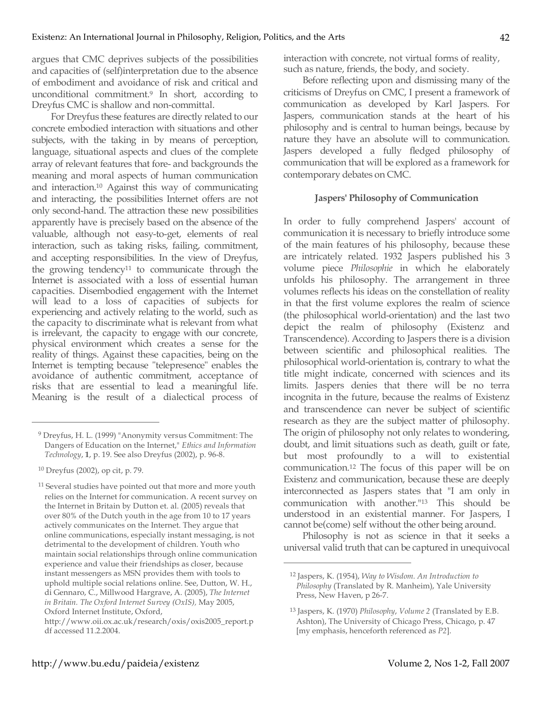argues that CMC deprives subjects of the possibilities and capacities of (self)interpretation due to the absence of embodiment and avoidance of risk and critical and unconditional commitment.9 In short, according to Dreyfus CMC is shallow and non-committal.

For Dreyfus these features are directly related to our concrete embodied interaction with situations and other subjects, with the taking in by means of perception, language, situational aspects and clues of the complete array of relevant features that fore- and backgrounds the meaning and moral aspects of human communication and interaction.10 Against this way of communicating and interacting, the possibilities Internet offers are not only second-hand. The attraction these new possibilities apparently have is precisely based on the absence of the valuable, although not easy-to-get, elements of real interaction, such as taking risks, failing, commitment, and accepting responsibilities. In the view of Dreyfus, the growing tendency11 to communicate through the Internet is associated with a loss of essential human capacities. Disembodied engagement with the Internet will lead to a loss of capacities of subjects for experiencing and actively relating to the world, such as the capacity to discriminate what is relevant from what is irrelevant, the capacity to engage with our concrete, physical environment which creates a sense for the reality of things. Against these capacities, being on the Internet is tempting because "telepresence" enables the avoidance of authentic commitment, acceptance of risks that are essential to lead a meaningful life. Meaning is the result of a dialectical process of

 $\overline{a}$ 

interaction with concrete, not virtual forms of reality, such as nature, friends, the body, and society.

Before reflecting upon and dismissing many of the criticisms of Dreyfus on CMC, I present a framework of communication as developed by Karl Jaspers. For Jaspers, communication stands at the heart of his philosophy and is central to human beings, because by nature they have an absolute will to communication. Jaspers developed a fully fledged philosophy of communication that will be explored as a framework for contemporary debates on CMC.

#### **Jaspers' Philosophy of Communication**

In order to fully comprehend Jaspers' account of communication it is necessary to briefly introduce some of the main features of his philosophy, because these are intricately related. 1932 Jaspers published his 3 volume piece *Philosophie* in which he elaborately unfolds his philosophy. The arrangement in three volumes reflects his ideas on the constellation of reality in that the first volume explores the realm of science (the philosophical world-orientation) and the last two depict the realm of philosophy (Existenz and Transcendence). According to Jaspers there is a division between scientific and philosophical realities. The philosophical world-orientation is, contrary to what the title might indicate, concerned with sciences and its limits. Jaspers denies that there will be no terra incognita in the future, because the realms of Existenz and transcendence can never be subject of scientific research as they are the subject matter of philosophy. The origin of philosophy not only relates to wondering, doubt, and limit situations such as death, guilt or fate, but most profoundly to a will to existential communication.12 The focus of this paper will be on Existenz and communication, because these are deeply interconnected as Jaspers states that "I am only in communication with another."13 This should be understood in an existential manner. For Jaspers, I cannot be(come) self without the other being around.

Philosophy is not as science in that it seeks a universal valid truth that can be captured in unequivocal

<sup>9</sup> Dreyfus, H. L. (1999) "Anonymity versus Commitment: The Dangers of Education on the Internet," *Ethics and Information Technology*, **1**, p. 19. See also Dreyfus (2002), p. 96-8.

<sup>10</sup> Dreyfus (2002), op cit, p. 79.

<sup>&</sup>lt;sup>11</sup> Several studies have pointed out that more and more youth relies on the Internet for communication. A recent survey on the Internet in Britain by Dutton et. al. (2005) reveals that over 80% of the Dutch youth in the age from 10 to 17 years actively communicates on the Internet. They argue that online communications, especially instant messaging, is not detrimental to the development of children. Youth who maintain social relationships through online communication experience and value their friendships as closer, because instant messengers as MSN provides them with tools to uphold multiple social relations online. See, Dutton, W. H., di Gennaro, C., Millwood Hargrave, A. (2005), *The Internet in Britain. The Oxford Internet Survey (OxIS),* May 2005, Oxford Internet Institute, Oxford,

http://www.oii.ox.ac.uk/research/oxis/oxis2005\_report.p df accessed 11.2.2004.

<sup>12</sup> Jaspers, K. (1954), *Way to Wisdom. An Introduction to Philosophy* (Translated by R. Manheim), Yale University Press, New Haven, p 26-7.

<sup>13</sup> Jaspers, K. (1970) *Philosophy*, *Volume 2* (Translated by E.B. Ashton), The University of Chicago Press, Chicago, p. 47 [my emphasis, henceforth referenced as *P2*].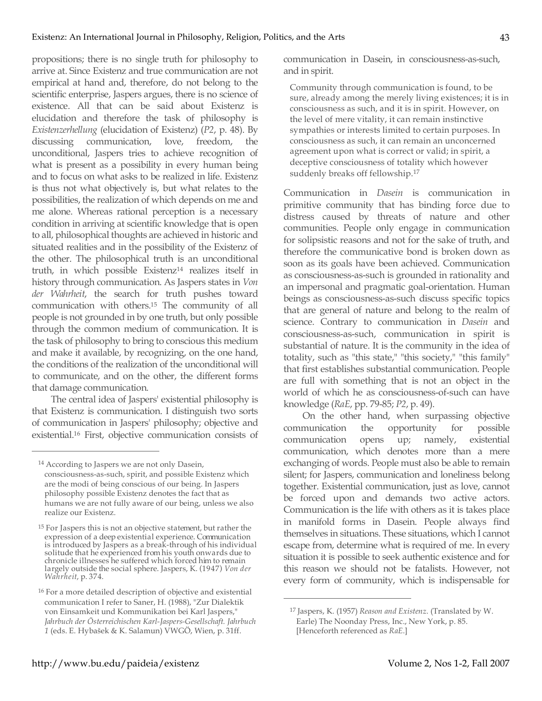propositions; there is no single truth for philosophy to arrive at. Since Existenz and true communication are not empirical at hand and, therefore, do not belong to the scientific enterprise, Jaspers argues, there is no science of existence. All that can be said about Existenz is elucidation and therefore the task of philosophy is *Existenzerhellung* (elucidation of Existenz) (*P2*, p. 48). By discussing communication, love, freedom, the unconditional, Jaspers tries to achieve recognition of what is present as a possibility in every human being and to focus on what asks to be realized in life. Existenz is thus not what objectively is, but what relates to the possibilities, the realization of which depends on me and me alone. Whereas rational perception is a necessary condition in arriving at scientific knowledge that is open to all, philosophical thoughts are achieved in historic and situated realities and in the possibility of the Existenz of the other. The philosophical truth is an unconditional truth, in which possible Existenz14 realizes itself in history through communication. As Jaspers states in *Von der Wahrheit*, the search for truth pushes toward communication with others. <sup>15</sup> The community of all people is not grounded in by one truth, but only possible through the common medium of communication. It is the task of philosophy to bring to conscious this medium and make it available, by recognizing, on the one hand, the conditions of the realization of the unconditional will to communicate, and on the other, the different forms that damage communication.

The central idea of Jaspers' existential philosophy is that Existenz is communication. I distinguish two sorts of communication in Jaspers' philosophy; objective and existential.16 First, objective communication consists of

 $\overline{a}$ 

communication in Dasein, in consciousness-as-such, and in spirit.

Community through communication is found, to be sure, already among the merely living existences; it is in consciousness as such, and it is in spirit. However, on the level of mere vitality, it can remain instinctive sympathies or interests limited to certain purposes. In consciousness as such, it can remain an unconcerned agreement upon what is correct or valid; in spirit, a deceptive consciousness of totality which however suddenly breaks off fellowship.17

Communication in *Dasein* is communication in primitive community that has binding force due to distress caused by threats of nature and other communities. People only engage in communication for solipsistic reasons and not for the sake of truth, and therefore the communicative bond is broken down as soon as its goals have been achieved. Communication as consciousness-as-such is grounded in rationality and an impersonal and pragmatic goal-orientation. Human beings as consciousness-as-such discuss specific topics that are general of nature and belong to the realm of science. Contrary to communication in *Dasein* and consciousness-as-such, communication in spirit is substantial of nature. It is the community in the idea of totality, such as "this state," "this society," "this family" that first establishes substantial communication. People are full with something that is not an object in the world of which he as consciousness-of-such can have knowledge (*RaE*, pp. 79-85; *P2*, p. 49).

On the other hand, when surpassing objective communication the opportunity for possible communication opens up; namely, existential communication, which denotes more than a mere exchanging of words. People must also be able to remain silent; for Jaspers, communication and loneliness belong together. Existential communication, just as love, cannot be forced upon and demands two active actors. Communication is the life with others as it is takes place in manifold forms in Dasein. People always find themselves in situations. These situations, which I cannot escape from, determine what is required of me. In every situation it is possible to seek authentic existence and for this reason we should not be fatalists. However, not every form of community, which is indispensable for

<sup>&</sup>lt;sup>14</sup> According to Jaspers we are not only Dasein, consciousness-as-such, spirit, and possible Existenz which are the modi of being conscious of our being. In Jaspers philosophy possible Existenz denotes the fact that as humans we are not fully aware of our being, unless we also realize our Existenz.

<sup>&</sup>lt;sup>15</sup> For Jaspers this is not an objective statement, but rather the expression of a deep existential experience. Communication is introduced by Jaspers as a break-through of his individual solitude that he experienced fromhis youth onwards due to chronicle illnesses he suffered which forced him to remain largely outside the social sphere. Jaspers, K. (1947) *Von der Wahrheit*, p. 374.

<sup>16</sup> For a more detailed description of objective and existential communication I refer to Saner, H. (1988), "Zur Dialektik von Einsamkeit und Kommunikation bei Karl Jaspers," *Jahrbuch der Österreichischen Karl-Jaspers-Gesellschaft. Jahrbuch 1* (eds. E. Hybašek & K. Salamun) VWGÖ, Wien, p. 31ff.

<sup>17</sup> Jaspers, K. (1957) *Reason and Existenz*. (Translated by W. Earle) The Noonday Press, Inc., New York, p. 85. [Henceforth referenced as *RaE*.]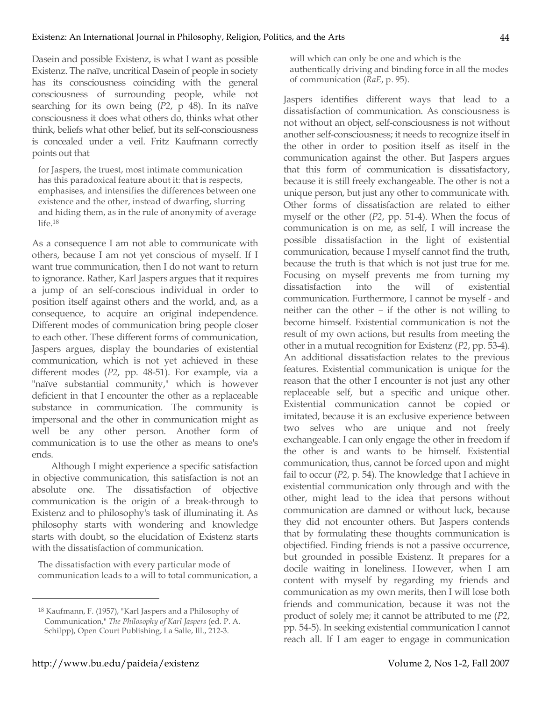Dasein and possible Existenz, is what I want as possible Existenz. The naïve, uncritical Dasein of people in society has its consciousness coinciding with the general consciousness of surrounding people, while not searching for its own being (*P2*, p 48). In its naïve consciousness it does what others do, thinks what other think, beliefs what other belief, but its self-consciousness is concealed under a veil. Fritz Kaufmann correctly points out that

for Jaspers, the truest, most intimate communication has this paradoxical feature about it: that is respects, emphasises, and intensifies the differences between one existence and the other, instead of dwarfing, slurring and hiding them, as in the rule of anonymity of average life. 18

As a consequence I am not able to communicate with others, because I am not yet conscious of myself. If I want true communication, then I do not want to return to ignorance. Rather, Karl Jaspers argues that it requires a jump of an self-conscious individual in order to position itself against others and the world, and, as a consequence, to acquire an original independence. Different modes of communication bring people closer to each other. These different forms of communication, Jaspers argues, display the boundaries of existential communication, which is not yet achieved in these different modes (*P2*, pp. 48-51). For example, via a "naïve substantial community," which is however deficient in that I encounter the other as a replaceable substance in communication. The community is impersonal and the other in communication might as well be any other person. Another form of communication is to use the other as means to one's ends.

Although I might experience a specific satisfaction in objective communication, this satisfaction is not an absolute one. The dissatisfaction of objective communication is the origin of a break-through to Existenz and to philosophy's task of illuminating it. As philosophy starts with wondering and knowledge starts with doubt, so the elucidation of Existenz starts with the dissatisfaction of communication.

The dissatisfaction with every particular mode of communication leads to a will to total communication, a will which can only be one and which is the authentically driving and binding force in all the modes of communication (*RaE*, p. 95).

Jaspers identifies different ways that lead to a dissatisfaction of communication. As consciousness is not without an object, self-consciousness is not without another self-consciousness; it needs to recognize itself in the other in order to position itself as itself in the communication against the other. But Jaspers argues that this form of communication is dissatisfactory, because it is still freely exchangeable. The other is not a unique person, but just any other to communicate with. Other forms of dissatisfaction are related to either myself or the other (*P2*, pp. 51-4). When the focus of communication is on me, as self, I will increase the possible dissatisfaction in the light of existential communication, because I myself cannot find the truth, because the truth is that which is not just true for me. Focusing on myself prevents me from turning my dissatisfaction into the will of existential communication. Furthermore, I cannot be myself - and neither can the other – if the other is not willing to become himself. Existential communication is not the result of my own actions, but results from meeting the other in a mutual recognition for Existenz (*P2*, pp. 53-4). An additional dissatisfaction relates to the previous features. Existential communication is unique for the reason that the other I encounter is not just any other replaceable self, but a specific and unique other. Existential communication cannot be copied or imitated, because it is an exclusive experience between two selves who are unique and not freely exchangeable. I can only engage the other in freedom if the other is and wants to be himself. Existential communication, thus, cannot be forced upon and might fail to occur (*P2*, p. 54). The knowledge that I achieve in existential communication only through and with the other, might lead to the idea that persons without communication are damned or without luck, because they did not encounter others. But Jaspers contends that by formulating these thoughts communication is objectified. Finding friends is not a passive occurrence, but grounded in possible Existenz. It prepares for a docile waiting in loneliness. However, when I am content with myself by regarding my friends and communication as my own merits, then I will lose both friends and communication, because it was not the product of solely me; it cannot be attributed to me (*P2*, pp. 54-5). In seeking existential communication I cannot reach all. If I am eager to engage in communication

<sup>18</sup> Kaufmann, F. (1957), "Karl Jaspers and a Philosophy of Communication," *The Philosophy of Karl Jaspers* (ed. P. A. Schilpp), Open Court Publishing, La Salle, Ill., 212-3.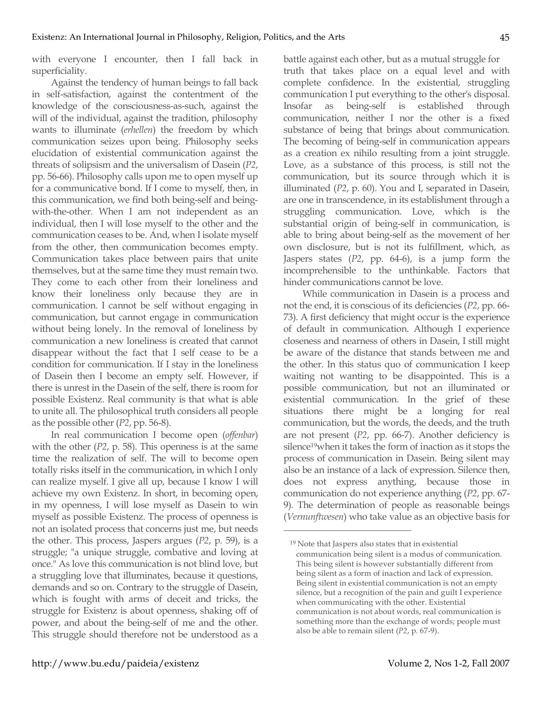with everyone I encounter, then I fall back in superficiality.

Against the tendency of human beings to fall back in self-satisfaction, against the contentment of the knowledge of the consciousness-as-such, against the will of the individual, against the tradition, philosophy wants to illuminate (*erhellen*) the freedom by which communication seizes upon being. Philosophy seeks elucidation of existential communication against the threats of solipsism and the universalism of Dasein (*P2*, pp. 56-66). Philosophy calls upon me to open myself up for a communicative bond. If I come to myself, then, in this communication, we find both being-self and beingwith-the-other. When I am not independent as an individual, then I will lose myself to the other and the communication ceases to be. And, when I isolate myself from the other, then communication becomes empty. Communication takes place between pairs that unite themselves, but at the same time they must remain two. They come to each other from their loneliness and know their loneliness only because they are in communication. I cannot be self without engaging in communication, but cannot engage in communication without being lonely. In the removal of loneliness by communication a new loneliness is created that cannot disappear without the fact that I self cease to be a condition for communication. If I stay in the loneliness of Dasein then I become an empty self. However, if there is unrest in the Dasein of the self, there is room for possible Existenz. Real community is that what is able to unite all. The philosophical truth considers all people as the possible other (*P2*, pp. 56-8).

In real communication I become open (*offenbar*) with the other (*P2*, p. 58). This openness is at the same time the realization of self. The will to become open totally risks itself in the communication, in which I only can realize myself. I give all up, because I know I will achieve my own Existenz. In short, in becoming open, in my openness, I will lose myself as Dasein to win myself as possible Existenz. The process of openness is not an isolated process that concerns just me, but needs the other. This process, Jaspers argues (*P2*, p. 59), is a struggle; "a unique struggle, combative and loving at once." As love this communication is not blind love, but a struggling love that illuminates, because it questions, demands and so on. Contrary to the struggle of Dasein, which is fought with arms of deceit and tricks, the struggle for Existenz is about openness, shaking off of power, and about the being-self of me and the other. This struggle should therefore not be understood as a

battle against each other, but as a mutual struggle for truth that takes place on a equal level and with complete confidence. In the existential, struggling communication I put everything to the other's disposal. Insofar as being-self is established through communication, neither I nor the other is a fixed substance of being that brings about communication. The becoming of being-self in communication appears as a creation ex nihilo resulting from a joint struggle. Love, as a substance of this process, is still not the communication, but its source through which it is illuminated (*P2*, p. 60). You and I, separated in Dasein, are one in transcendence, in its establishment through a struggling communication. Love, which is the substantial origin of being-self in communication, is able to bring about being-self as the movement of her own disclosure, but is not its fulfillment, which, as Jaspers states (*P2*, pp. 64-6), is a jump form the incomprehensible to the unthinkable. Factors that hinder communications cannot be love.

While communication in Dasein is a process and not the end, it is conscious of its deficiencies (*P2*, pp. 66- 73). A first deficiency that might occur is the experience of default in communication. Although I experience closeness and nearness of others in Dasein, I still might be aware of the distance that stands between me and the other. In this status quo of communication I keep waiting not wanting to be disappointed. This is a possible communication, but not an illuminated or existential communication. In the grief of these situations there might be a longing for real communication, but the words, the deeds, and the truth are not present (*P2*, pp. 66-7). Another deficiency is silence<sup>19</sup>when it takes the form of inaction as it stops the process of communication in Dasein. Being silent may also be an instance of a lack of expression. Silence then, does not express anything, because those in communication do not experience anything (*P2*, pp. 67- 9). The determination of people as reasonable beings (*Vernunftwesen*) who take value as an objective basis for

<sup>19</sup> Note that Jaspers also states that in existential communication being silent is a modus of communication. This being silent is however substantially different from being silent as a form of inaction and lack of expression. Being silent in existential communication is not an empty silence, but a recognition of the pain and guilt I experience when communicating with the other. Existential communication is not about words, real communication is something more than the exchange of words; people must also be able to remain silent (*P2*, p. 67-9).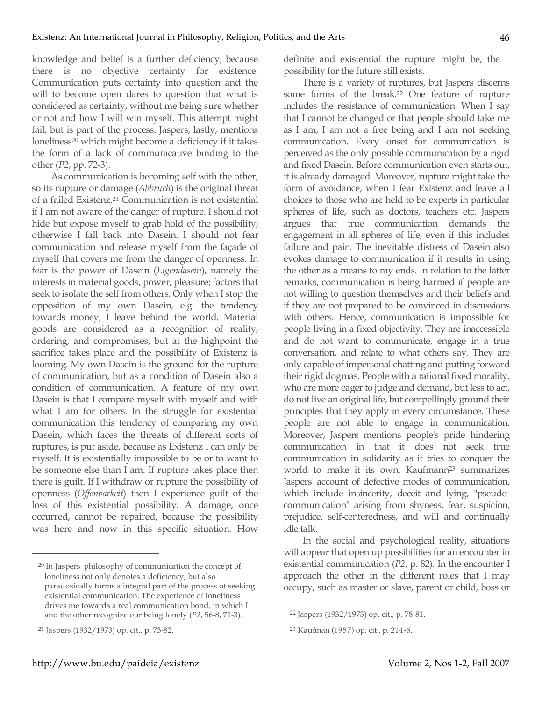knowledge and belief is a further deficiency, because there is no objective certainty for existence. Communication puts certainty into question and the will to become open dares to question that what is considered as certainty, without me being sure whether or not and how I will win myself. This attempt might fail, but is part of the process. Jaspers, lastly, mentions loneliness<sup>20</sup> which might become a deficiency if it takes the form of a lack of communicative binding to the other (*P2*, pp. 72-3).

As communication is becoming self with the other, so its rupture or damage (*Abbruch*) is the original threat of a failed Existenz.21 Communication is not existential if I am not aware of the danger of rupture. I should not hide but expose myself to grab hold of the possibility; otherwise I fall back into Dasein. I should not fear communication and release myself from the façade of myself that covers me from the danger of openness. In fear is the power of Dasein (*Eigendasein*), namely the interests in material goods, power, pleasure; factors that seek to isolate the self from others. Only when I stop the opposition of my own Dasein, e.g. the tendency towards money, I leave behind the world. Material goods are considered as a recognition of reality, ordering, and compromises, but at the highpoint the sacrifice takes place and the possibility of Existenz is looming. My own Dasein is the ground for the rupture of communication, but as a condition of Dasein also a condition of communication. A feature of my own Dasein is that I compare myself with myself and with what I am for others. In the struggle for existential communication this tendency of comparing my own Dasein, which faces the threats of different sorts of ruptures, is put aside, because as Existenz I can only be myself. It is existentially impossible to be or to want to be someone else than I am. If rupture takes place then there is guilt. If I withdraw or rupture the possibility of openness (*Offenbarkeit*) then I experience guilt of the loss of this existential possibility. A damage, once occurred, cannot be repaired, because the possibility was here and now in this specific situation. How

 $\overline{a}$ 

definite and existential the rupture might be, the possibility for the future still exists.

There is a variety of ruptures, but Jaspers discerns some forms of the break. <sup>22</sup> One feature of rupture includes the resistance of communication. When I say that I cannot be changed or that people should take me as I am, I am not a free being and I am not seeking communication. Every onset for communication is perceived as the only possible communication by a rigid and fixed Dasein. Before communication even starts out, it is already damaged. Moreover, rupture might take the form of avoidance, when I fear Existenz and leave all choices to those who are held to be experts in particular spheres of life, such as doctors, teachers etc. Jaspers argues that true communication demands the engagement in all spheres of life, even if this includes failure and pain. The inevitable distress of Dasein also evokes damage to communication if it results in using the other as a means to my ends. In relation to the latter remarks, communication is being harmed if people are not willing to question themselves and their beliefs and if they are not prepared to be convinced in discussions with others. Hence, communication is impossible for people living in a fixed objectivity. They are inaccessible and do not want to communicate, engage in a true conversation, and relate to what others say. They are only capable of impersonal chatting and putting forward their rigid dogmas. People with a rational fixed morality, who are more eager to judge and demand, but less to act, do not live an original life, but compellingly ground their principles that they apply in every circumstance. These people are not able to engage in communication. Moreover, Jaspers mentions people's pride hindering communication in that it does not seek true communication in solidarity as it tries to conquer the world to make it its own. Kaufmann<sup>23</sup> summarizes Jaspers' account of defective modes of communication, which include insincerity, deceit and lying, "pseudocommunication" arising from shyness, fear, suspicion, prejudice, self-centeredness, and will and continually idle talk.

In the social and psychological reality, situations will appear that open up possibilities for an encounter in existential communication (*P2*, p. 82). In the encounter I approach the other in the different roles that I may occupy, such as master or slave, parent or child, boss or

<sup>20</sup> In Jaspers' philosophy of communication the concept of loneliness not only denotes a deficiency, but also paradoxically forms a integral part of the process of seeking existential communication. The experience of loneliness drives me towards a real communication bond, in which I and the other recognize our being lonely (*P2*, 56-8, 71-3).

<sup>21</sup> Jaspers (1932/1973) op. cit., p. 73-82.

<sup>22</sup> Jaspers (1932/1973) op. cit., p. 78-81.

<sup>23</sup> Kaufman (1957) op. cit., p. 214-6.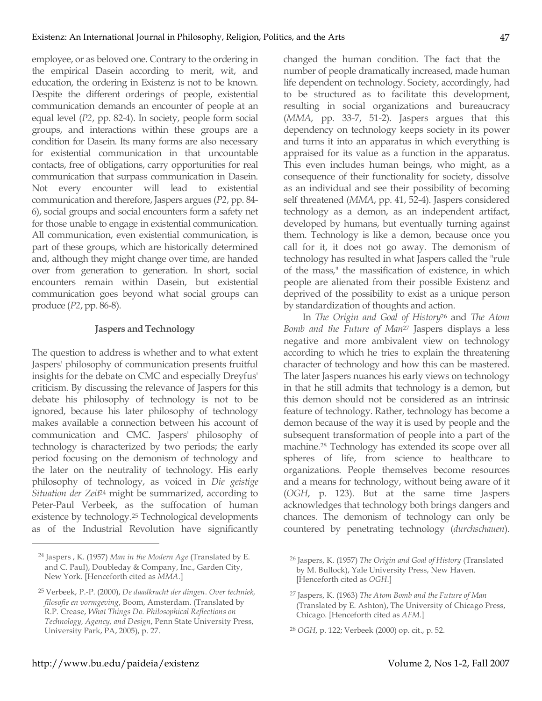employee, or as beloved one. Contrary to the ordering in the empirical Dasein according to merit, wit, and education, the ordering in Existenz is not to be known. Despite the different orderings of people, existential communication demands an encounter of people at an equal level (*P2*, pp. 82-4). In society, people form social groups, and interactions within these groups are a condition for Dasein. Its many forms are also necessary for existential communication in that uncountable contacts, free of obligations, carry opportunities for real communication that surpass communication in Dasein. Not every encounter will lead to existential communication and therefore, Jaspers argues (*P2*, pp. 84- 6), social groups and social encounters form a safety net for those unable to engage in existential communication. All communication, even existential communication, is part of these groups, which are historically determined and, although they might change over time, are handed over from generation to generation. In short, social encounters remain within Dasein, but existential communication goes beyond what social groups can produce (*P2*, pp. 86-8).

## **Jaspers and Technology**

The question to address is whether and to what extent Jaspers' philosophy of communication presents fruitful insights for the debate on CMC and especially Dreyfus' criticism. By discussing the relevance of Jaspers for this debate his philosophy of technology is not to be ignored, because his later philosophy of technology makes available a connection between his account of communication and CMC. Jaspers' philosophy of technology is characterized by two periods; the early period focusing on the demonism of technology and the later on the neutrality of technology. His early philosophy of technology, as voiced in *Die geistige Situation der Zeit*<sup>24</sup> might be summarized, according to Peter-Paul Verbeek, as the suffocation of human existence by technology.25 Technological developments as of the Industrial Revolution have significantly changed the human condition. The fact that the number of people dramatically increased, made human life dependent on technology. Society, accordingly, had to be structured as to facilitate this development, resulting in social organizations and bureaucracy (*MMA*, pp. 33-7, 51-2). Jaspers argues that this dependency on technology keeps society in its power and turns it into an apparatus in which everything is appraised for its value as a function in the apparatus. This even includes human beings, who might, as a consequence of their functionality for society, dissolve as an individual and see their possibility of becoming self threatened (*MMA*, pp. 41, 52-4). Jaspers considered technology as a demon, as an independent artifact, developed by humans, but eventually turning against them. Technology is like a demon, because once you call for it, it does not go away. The demonism of technology has resulted in what Jaspers called the "rule of the mass," the massification of existence, in which people are alienated from their possible Existenz and deprived of the possibility to exist as a unique person by standardization of thoughts and action.

In *The Origin and Goal of History*<sup>26</sup> and *The Atom Bomb and the Future of Man*<sup>27</sup> Jaspers displays a less negative and more ambivalent view on technology according to which he tries to explain the threatening character of technology and how this can be mastered. The later Jaspers nuances his early views on technology in that he still admits that technology is a demon, but this demon should not be considered as an intrinsic feature of technology. Rather, technology has become a demon because of the way it is used by people and the subsequent transformation of people into a part of the machine.28 Technology has extended its scope over all spheres of life, from science to healthcare to organizations. People themselves become resources and a means for technology, without being aware of it (*OGH*, p. 123). But at the same time Jaspers acknowledges that technology both brings dangers and chances. The demonism of technology can only be countered by penetrating technology (*durchschauen*).

 $\overline{a}$ 

<sup>24</sup> Jaspers , K. (1957) *Man in the Modern Age* (Translated by E. and C. Paul), Doubleday & Company, Inc., Garden City, New York. [Henceforth cited as *MMA*.]

<sup>25</sup> Verbeek, P.-P. (2000), *De daadkracht der dingen. Over techniek, filosofie en vormgeving*, Boom, Amsterdam. (Translated by R.P. Crease, *What Things Do. Philosophical Reflections on Technology, Agency, and Design*, Penn State University Press, University Park, PA, 2005), p. 27.

<sup>26</sup> Jaspers, K. (1957) *The Origin and Goal of History* (Translated by M. Bullock), Yale University Press, New Haven. [Henceforth cited as *OGH*.]

<sup>27</sup> Jaspers, K. (1963) *The Atom Bomb and the Future of Man* (Translated by E. Ashton), The University of Chicago Press, Chicago. [Henceforth cited as *AFM*.]

<sup>28</sup> *OGH*, p. 122; Verbeek (2000) op. cit., p. 52.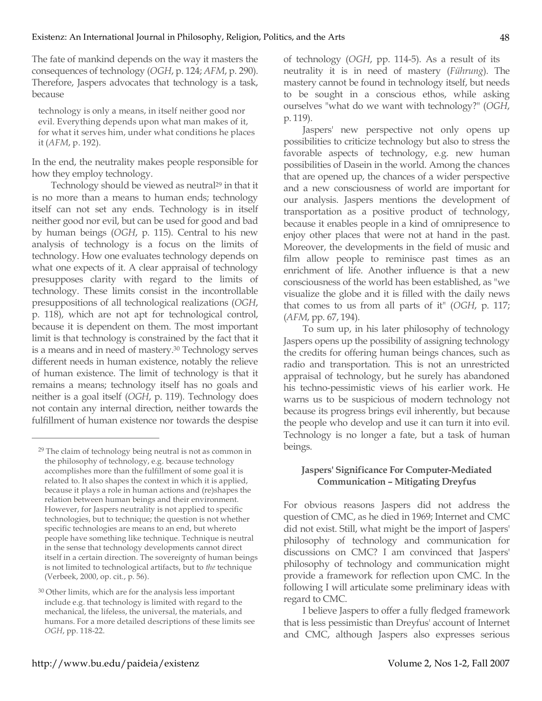The fate of mankind depends on the way it masters the consequences of technology (*OGH*, p. 124; *AFM*, p. 290). Therefore, Jaspers advocates that technology is a task, because

technology is only a means, in itself neither good nor evil. Everything depends upon what man makes of it, for what it serves him, under what conditions he places it (*AFM*, p. 192).

In the end, the neutrality makes people responsible for how they employ technology.

Technology should be viewed as neutral<sup>29</sup> in that it is no more than a means to human ends; technology itself can not set any ends. Technology is in itself neither good nor evil, but can be used for good and bad by human beings (*OGH*, p. 115). Central to his new analysis of technology is a focus on the limits of technology. How one evaluates technology depends on what one expects of it. A clear appraisal of technology presupposes clarity with regard to the limits of technology. These limits consist in the incontrollable presuppositions of all technological realizations (*OGH*, p. 118), which are not apt for technological control, because it is dependent on them. The most important limit is that technology is constrained by the fact that it is a means and in need of mastery.30 Technology serves different needs in human existence, notably the relieve of human existence. The limit of technology is that it remains a means; technology itself has no goals and neither is a goal itself (*OGH*, p. 119). Technology does not contain any internal direction, neither towards the fulfillment of human existence nor towards the despise

of technology (*OGH*, pp. 114-5). As a result of its neutrality it is in need of mastery (*Führung*). The mastery cannot be found in technology itself, but needs to be sought in a conscious ethos, while asking ourselves "what do we want with technology?" (*OGH*, p. 119).

Jaspers' new perspective not only opens up possibilities to criticize technology but also to stress the favorable aspects of technology, e.g. new human possibilities of Dasein in the world. Among the chances that are opened up, the chances of a wider perspective and a new consciousness of world are important for our analysis. Jaspers mentions the development of transportation as a positive product of technology, because it enables people in a kind of omnipresence to enjoy other places that were not at hand in the past. Moreover, the developments in the field of music and film allow people to reminisce past times as an enrichment of life. Another influence is that a new consciousness of the world has been established, as "we visualize the globe and it is filled with the daily news that comes to us from all parts of it" (*OGH*, p. 117; (*AFM*, pp. 67, 194).

To sum up, in his later philosophy of technology Jaspers opens up the possibility of assigning technology the credits for offering human beings chances, such as radio and transportation. This is not an unrestricted appraisal of technology, but he surely has abandoned his techno-pessimistic views of his earlier work. He warns us to be suspicious of modern technology not because its progress brings evil inherently, but because the people who develop and use it can turn it into evil. Technology is no longer a fate, but a task of human beings.

## **Jaspers' Significance For Computer-Mediated Communication – Mitigating Dreyfus**

For obvious reasons Jaspers did not address the question of CMC, as he died in 1969; Internet and CMC did not exist. Still, what might be the import of Jaspers' philosophy of technology and communication for discussions on CMC? I am convinced that Jaspers' philosophy of technology and communication might provide a framework for reflection upon CMC. In the following I will articulate some preliminary ideas with regard to CMC.

I believe Jaspers to offer a fully fledged framework that is less pessimistic than Dreyfus' account of Internet and CMC, although Jaspers also expresses serious

<sup>&</sup>lt;sup>29</sup> The claim of technology being neutral is not as common in the philosophy of technology, e.g. because technology accomplishes more than the fulfillment of some goal it is related to. It also shapes the context in which it is applied, because it plays a role in human actions and (re)shapes the relation between human beings and their environment. However, for Jaspers neutrality is not applied to specific technologies, but to technique; the question is not whether specific technologies are means to an end, but whereto people have something like technique. Technique is neutral in the sense that technology developments cannot direct itself in a certain direction. The sovereignty of human beings is not limited to technological artifacts, but to *the* technique (Verbeek, 2000, op. cit., p. 56).

<sup>30</sup> Other limits, which are for the analysis less important include e.g. that technology is limited with regard to the mechanical, the lifeless, the universal, the materials, and humans. For a more detailed descriptions of these limits see *OGH*, pp. 118-22.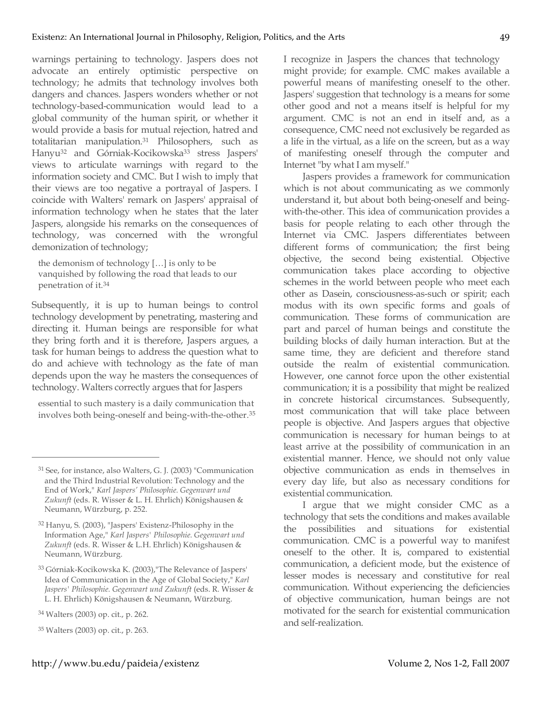warnings pertaining to technology. Jaspers does not advocate an entirely optimistic perspective on technology; he admits that technology involves both dangers and chances. Jaspers wonders whether or not technology-based-communication would lead to a global community of the human spirit, or whether it would provide a basis for mutual rejection, hatred and totalitarian manipulation.31 Philosophers, such as Hanyu<sup>32</sup> and Górniak-Kocikowska<sup>33</sup> stress Jaspers' views to articulate warnings with regard to the information society and CMC. But I wish to imply that their views are too negative a portrayal of Jaspers. I coincide with Walters' remark on Jaspers' appraisal of information technology when he states that the later Jaspers, alongside his remarks on the consequences of technology, was concerned with the wrongful demonization of technology;

the demonism of technology […] is only to be vanquished by following the road that leads to our penetration of it.34

Subsequently, it is up to human beings to control technology development by penetrating, mastering and directing it. Human beings are responsible for what they bring forth and it is therefore, Jaspers argues, a task for human beings to address the question what to do and achieve with technology as the fate of man depends upon the way he masters the consequences of technology. Walters correctly argues that for Jaspers

essential to such mastery is a daily communication that involves both being-oneself and being-with-the-other.35

 $\overline{a}$ 

I recognize in Jaspers the chances that technology might provide; for example. CMC makes available a powerful means of manifesting oneself to the other. Jaspers' suggestion that technology is a means for some other good and not a means itself is helpful for my argument. CMC is not an end in itself and, as a consequence, CMC need not exclusively be regarded as a life in the virtual, as a life on the screen, but as a way of manifesting oneself through the computer and Internet "by what I am myself."

Jaspers provides a framework for communication which is not about communicating as we commonly understand it, but about both being-oneself and beingwith-the-other. This idea of communication provides a basis for people relating to each other through the Internet via CMC. Jaspers differentiates between different forms of communication; the first being objective, the second being existential. Objective communication takes place according to objective schemes in the world between people who meet each other as Dasein, consciousness-as-such or spirit; each modus with its own specific forms and goals of communication. These forms of communication are part and parcel of human beings and constitute the building blocks of daily human interaction. But at the same time, they are deficient and therefore stand outside the realm of existential communication. However, one cannot force upon the other existential communication; it is a possibility that might be realized in concrete historical circumstances. Subsequently, most communication that will take place between people is objective. And Jaspers argues that objective communication is necessary for human beings to at least arrive at the possibility of communication in an existential manner. Hence, we should not only value objective communication as ends in themselves in every day life, but also as necessary conditions for existential communication.

I argue that we might consider CMC as a technology that sets the conditions and makes available the possibilities and situations for existential communication. CMC is a powerful way to manifest oneself to the other. It is, compared to existential communication, a deficient mode, but the existence of lesser modes is necessary and constitutive for real communication. Without experiencing the deficiencies of objective communication, human beings are not motivated for the search for existential communication and self-realization.

<sup>31</sup> See, for instance, also Walters, G. J. (2003) "Communication and the Third Industrial Revolution: Technology and the End of Work," *Karl Jaspers' Philosophie. Gegenwart und Zukunft* (eds. R. Wisser & L. H. Ehrlich) Königshausen & Neumann, Würzburg, p. 252.

<sup>32</sup> Hanyu, S. (2003), "Jaspers' Existenz-Philosophy in the Information Age," *Karl Jaspers' Philosophie. Gegenwart und Zukunft* (eds. R. Wisser & L.H. Ehrlich) Königshausen & Neumann, Würzburg.

<sup>33</sup> Górniak-Kocikowska K. (2003),"The Relevance of Jaspers' Idea of Communication in the Age of Global Society," *Karl Jaspers' Philosophie. Gegenwart und Zukunft* (eds. R. Wisser & L. H. Ehrlich) Königshausen & Neumann, Würzburg.

<sup>34</sup> Walters (2003) op. cit., p. 262.

<sup>35</sup> Walters (2003) op. cit., p. 263.